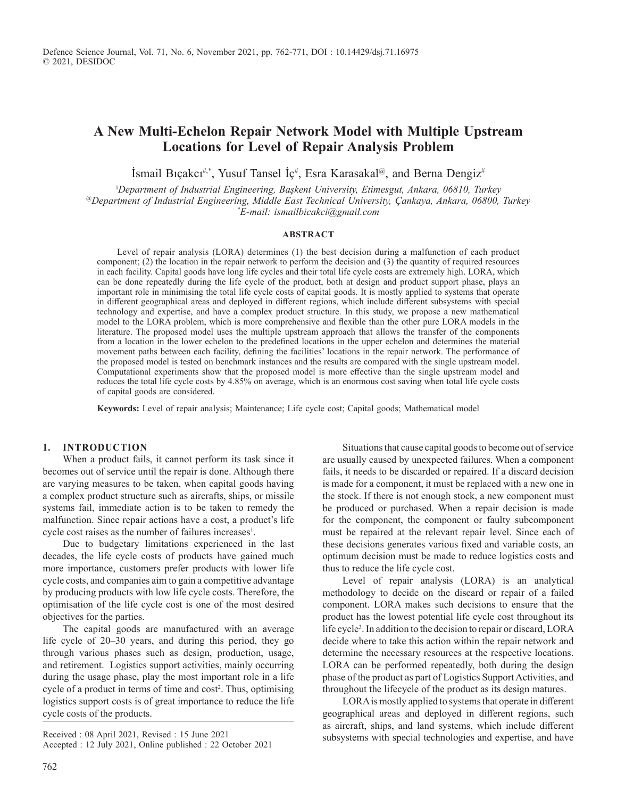# **A New Multi-Echelon Repair Network Model with Multiple Upstream Locations for Level of Repair Analysis Problem**

İsmail Bıçakcı#,\*, Yusuf Tansel İç# , Esra Karasakal@, and Berna Dengiz#

*# Department of Industrial Engineering, Başkent University, Etimesgut, Ankara, 06810, Turkey @Department of Industrial Engineering, Middle East Technical University, Çankaya, Ankara, 06800, Turkey \* E-mail: ismailbicakci@gmail.com*

#### **ABSTRACT**

Level of repair analysis (LORA) determines (1) the best decision during a malfunction of each product component; (2) the location in the repair network to perform the decision and (3) the quantity of required resources in each facility. Capital goods have long life cycles and their total life cycle costs are extremely high. LORA, which can be done repeatedly during the life cycle of the product, both at design and product support phase, plays an important role in minimising the total life cycle costs of capital goods. It is mostly applied to systems that operate in different geographical areas and deployed in different regions, which include different subsystems with special technology and expertise, and have a complex product structure. In this study, we propose a new mathematical model to the LORA problem, which is more comprehensive and flexible than the other pure LORA models in the literature. The proposed model uses the multiple upstream approach that allows the transfer of the components from a location in the lower echelon to the predefined locations in the upper echelon and determines the material movement paths between each facility, defining the facilities' locations in the repair network. The performance of the proposed model is tested on benchmark instances and the results are compared with the single upstream model. Computational experiments show that the proposed model is more effective than the single upstream model and reduces the total life cycle costs by 4.85% on average, which is an enormous cost saving when total life cycle costs of capital goods are considered.

**Keywords:** Level of repair analysis; Maintenance; Life cycle cost; Capital goods; Mathematical model

#### **1. INTRODUCTION**

When a product fails, it cannot perform its task since it becomes out of service until the repair is done. Although there are varying measures to be taken, when capital goods having a complex product structure such as aircrafts, ships, or missile systems fail, immediate action is to be taken to remedy the malfunction. Since repair actions have a cost, a product's life cycle cost raises as the number of failures increases<sup>1</sup>.

Due to budgetary limitations experienced in the last decades, the life cycle costs of products have gained much more importance, customers prefer products with lower life cycle costs, and companies aim to gain a competitive advantage by producing products with low life cycle costs. Therefore, the optimisation of the life cycle cost is one of the most desired objectives for the parties.

The capital goods are manufactured with an average life cycle of 20–30 years, and during this period, they go through various phases such as design, production, usage, and retirement. Logistics support activities, mainly occurring during the usage phase, play the most important role in a life cycle of a product in terms of time and  $cost<sup>2</sup>$ . Thus, optimising logistics support costs is of great importance to reduce the life cycle costs of the products.

Accepted : 12 July 2021, Online published : 22 October 2021

Situations that cause capital goods to become out of service are usually caused by unexpected failures. When a component fails, it needs to be discarded or repaired. If a discard decision is made for a component, it must be replaced with a new one in the stock. If there is not enough stock, a new component must be produced or purchased. When a repair decision is made for the component, the component or faulty subcomponent must be repaired at the relevant repair level. Since each of these decisions generates various fixed and variable costs, an optimum decision must be made to reduce logistics costs and thus to reduce the life cycle cost.

Level of repair analysis (LORA) is an analytical methodology to decide on the discard or repair of a failed component. LORA makes such decisions to ensure that the product has the lowest potential life cycle cost throughout its life cycle<sup>3</sup>. In addition to the decision to repair or discard, LORA decide where to take this action within the repair network and determine the necessary resources at the respective locations. LORA can be performed repeatedly, both during the design phase of the product as part of Logistics Support Activities, and throughout the lifecycle of the product as its design matures.

LORA is mostly applied to systems that operate in different geographical areas and deployed in different regions, such as aircraft, ships, and land systems, which include different Received : 08 April 2021, Revised : 15 June 2021<br>subsystems with special technologies and expertise, and have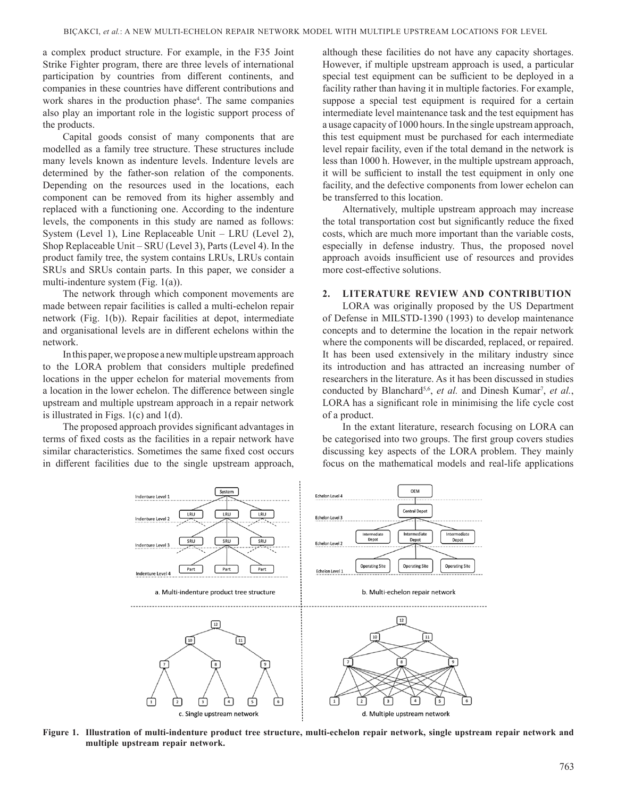a complex product structure. For example, in the F35 Joint Strike Fighter program, there are three levels of international participation by countries from different continents, and companies in these countries have different contributions and work shares in the production phase<sup>4</sup>. The same companies also play an important role in the logistic support process of the products.

Capital goods consist of many components that are modelled as a family tree structure. These structures include many levels known as indenture levels. Indenture levels are determined by the father-son relation of the components. Depending on the resources used in the locations, each component can be removed from its higher assembly and replaced with a functioning one. According to the indenture levels, the components in this study are named as follows: System (Level 1), Line Replaceable Unit – LRU (Level 2), Shop Replaceable Unit – SRU (Level 3), Parts (Level 4). In the product family tree, the system contains LRUs, LRUs contain SRUs and SRUs contain parts. In this paper, we consider a multi-indenture system (Fig. 1(a)).

The network through which component movements are made between repair facilities is called a multi-echelon repair network (Fig. 1(b)). Repair facilities at depot, intermediate and organisational levels are in different echelons within the network.

In this paper, we propose a new multiple upstream approach to the LORA problem that considers multiple predefined locations in the upper echelon for material movements from a location in the lower echelon. The difference between single upstream and multiple upstream approach in a repair network is illustrated in Figs. 1(c) and 1(d).

The proposed approach provides significant advantages in terms of fixed costs as the facilities in a repair network have similar characteristics. Sometimes the same fixed cost occurs in different facilities due to the single upstream approach,

although these facilities do not have any capacity shortages. However, if multiple upstream approach is used, a particular special test equipment can be sufficient to be deployed in a facility rather than having it in multiple factories. For example, suppose a special test equipment is required for a certain intermediate level maintenance task and the test equipment has a usage capacity of 1000 hours. In the single upstream approach, this test equipment must be purchased for each intermediate level repair facility, even if the total demand in the network is less than 1000 h. However, in the multiple upstream approach, it will be sufficient to install the test equipment in only one facility, and the defective components from lower echelon can be transferred to this location.

Alternatively, multiple upstream approach may increase the total transportation cost but significantly reduce the fixed costs, which are much more important than the variable costs, especially in defense industry. Thus, the proposed novel approach avoids insufficient use of resources and provides more cost-effective solutions.

### **2. LITERATURE REVIEW AND CONTRIBUTION**

LORA was originally proposed by the US Department of Defense in MILSTD-1390 (1993) to develop maintenance concepts and to determine the location in the repair network where the components will be discarded, replaced, or repaired. It has been used extensively in the military industry since its introduction and has attracted an increasing number of researchers in the literature. As it has been discussed in studies conducted by Blanchard<sup>5,6</sup>, *et al.* and Dinesh Kumar<sup>7</sup>, *et al.*, LORA has a significant role in minimising the life cycle cost of a product.

In the extant literature, research focusing on LORA can be categorised into two groups. The first group covers studies discussing key aspects of the LORA problem. They mainly focus on the mathematical models and real-life applications



**Figure 1. Illustration of multi-indenture product tree structure, multi-echelon repair network, single upstream repair network and multiple upstream repair network.**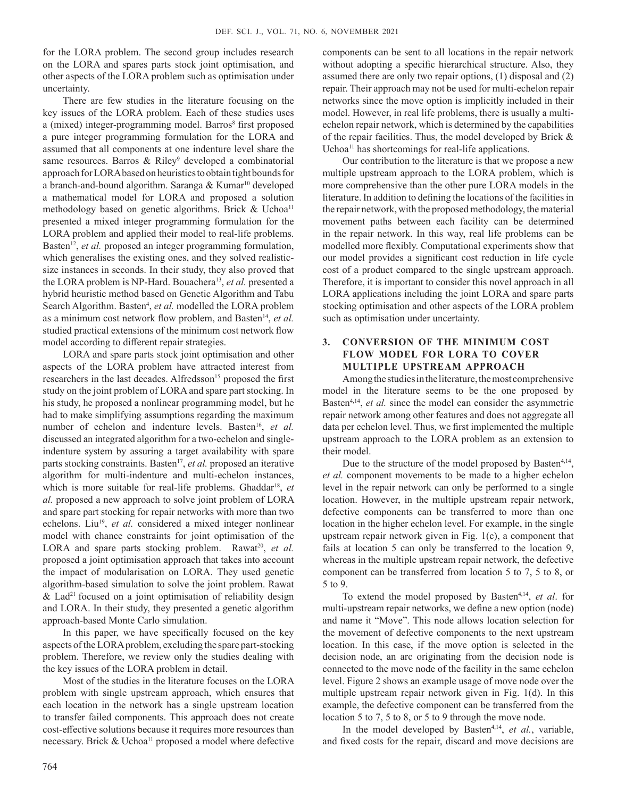for the LORA problem. The second group includes research on the LORA and spares parts stock joint optimisation, and other aspects of the LORA problem such as optimisation under uncertainty.

There are few studies in the literature focusing on the key issues of the LORA problem. Each of these studies uses a (mixed) integer-programming model. Barros<sup>8</sup> first proposed a pure integer programming formulation for the LORA and assumed that all components at one indenture level share the same resources. Barros & Riley<sup>9</sup> developed a combinatorial approach for LORA based on heuristics to obtain tight bounds for a branch-and-bound algorithm. Saranga & Kumar<sup>10</sup> developed a mathematical model for LORA and proposed a solution methodology based on genetic algorithms. Brick & Uchoa<sup>11</sup> presented a mixed integer programming formulation for the LORA problem and applied their model to real-life problems. Basten<sup>12</sup>, et al. proposed an integer programming formulation, which generalises the existing ones, and they solved realisticsize instances in seconds. In their study, they also proved that the LORA problem is NP-Hard. Bouachera<sup>13</sup>, et al. presented a hybrid heuristic method based on Genetic Algorithm and Tabu Search Algorithm. Basten<sup>4</sup>, et al. modelled the LORA problem as a minimum cost network flow problem, and Basten<sup>14</sup>, et al. studied practical extensions of the minimum cost network flow model according to different repair strategies.

LORA and spare parts stock joint optimisation and other aspects of the LORA problem have attracted interest from researchers in the last decades. Alfredsson<sup>15</sup> proposed the first study on the joint problem of LORA and spare part stocking. In his study, he proposed a nonlinear programming model, but he had to make simplifying assumptions regarding the maximum number of echelon and indenture levels. Basten<sup>16</sup>, et al. discussed an integrated algorithm for a two-echelon and singleindenture system by assuring a target availability with spare parts stocking constraints. Basten<sup>17</sup>, et al. proposed an iterative algorithm for multi-indenture and multi-echelon instances, which is more suitable for real-life problems. Ghaddar<sup>18</sup>, et *al.* proposed a new approach to solve joint problem of LORA and spare part stocking for repair networks with more than two echelons. Liu<sup>19</sup>, et al. considered a mixed integer nonlinear model with chance constraints for joint optimisation of the LORA and spare parts stocking problem. Rawat<sup>20</sup>, et al. proposed a joint optimisation approach that takes into account the impact of modularisation on LORA. They used genetic algorithm-based simulation to solve the joint problem. Rawat  $&$  Lad<sup>21</sup> focused on a joint optimisation of reliability design and LORA. In their study, they presented a genetic algorithm approach-based Monte Carlo simulation.

In this paper, we have specifically focused on the key aspects of the LORA problem, excluding the spare part-stocking problem. Therefore, we review only the studies dealing with the key issues of the LORA problem in detail.

Most of the studies in the literature focuses on the LORA problem with single upstream approach, which ensures that each location in the network has a single upstream location to transfer failed components. This approach does not create cost-effective solutions because it requires more resources than necessary. Brick & Uchoa<sup>11</sup> proposed a model where defective

components can be sent to all locations in the repair network without adopting a specific hierarchical structure. Also, they assumed there are only two repair options, (1) disposal and (2) repair. Their approach may not be used for multi-echelon repair networks since the move option is implicitly included in their model. However, in real life problems, there is usually a multiechelon repair network, which is determined by the capabilities of the repair facilities. Thus, the model developed by Brick & Uchoa<sup>11</sup> has shortcomings for real-life applications.

Our contribution to the literature is that we propose a new multiple upstream approach to the LORA problem, which is more comprehensive than the other pure LORA models in the literature. In addition to defining the locations of the facilities in the repair network, with the proposed methodology, the material movement paths between each facility can be determined in the repair network. In this way, real life problems can be modelled more flexibly. Computational experiments show that our model provides a significant cost reduction in life cycle cost of a product compared to the single upstream approach. Therefore, it is important to consider this novel approach in all LORA applications including the joint LORA and spare parts stocking optimisation and other aspects of the LORA problem such as optimisation under uncertainty.

# **3. CONVERSION OF THE MINIMUM COST FLOW MODEL FOR LORA TO COVER MULTIPLE UPSTREAM APPROACH**

Among the studies in the literature, the most comprehensive model in the literature seems to be the one proposed by Basten<sup>4,14</sup>, *et al.* since the model can consider the asymmetric repair network among other features and does not aggregate all data per echelon level. Thus, we first implemented the multiple upstream approach to the LORA problem as an extension to their model.

Due to the structure of the model proposed by Basten<sup>4,14</sup>, *et al.* component movements to be made to a higher echelon level in the repair network can only be performed to a single location. However, in the multiple upstream repair network, defective components can be transferred to more than one location in the higher echelon level. For example, in the single upstream repair network given in Fig. 1(c), a component that fails at location 5 can only be transferred to the location 9, whereas in the multiple upstream repair network, the defective component can be transferred from location 5 to 7, 5 to 8, or 5 to 9.

To extend the model proposed by Basten4,14, *et al*. for multi-upstream repair networks, we define a new option (node) and name it "Move". This node allows location selection for the movement of defective components to the next upstream location. In this case, if the move option is selected in the decision node, an arc originating from the decision node is connected to the move node of the facility in the same echelon level. Figure 2 shows an example usage of move node over the multiple upstream repair network given in Fig. 1(d). In this example, the defective component can be transferred from the location 5 to 7, 5 to 8, or 5 to 9 through the move node.

In the model developed by Basten<sup>4,14</sup>, et al., variable, and fixed costs for the repair, discard and move decisions are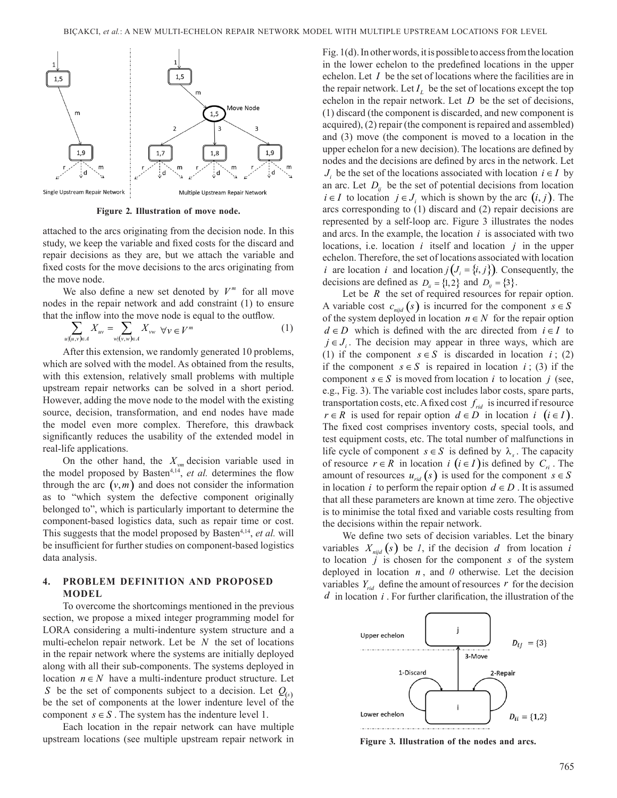

**Figure 2***.* **Illustration of move node.**

attached to the arcs originating from the decision node. In this study, we keep the variable and fixed costs for the discard and repair decisions as they are, but we attach the variable and fixed costs for the move decisions to the arcs originating from the move node.

We also define a new set denoted by  $V^m$  for all move nodes in the repair network and add constraint (1) to ensure that the inflow into the move node is equal to the outflow.

$$
\sum_{u|(u,v)\in A} X_{uv} = \sum_{w|(v,w)\in A} X_{vw} \quad \forall v \in V^m \tag{1}
$$

After this extension, we randomly generated 10 problems, which are solved with the model. As obtained from the results, with this extension, relatively small problems with multiple upstream repair networks can be solved in a short period. However, adding the move node to the model with the existing source, decision, transformation, and end nodes have made the model even more complex. Therefore, this drawback significantly reduces the usability of the extended model in real-life applications.

On the other hand, the  $X_{vm}$  decision variable used in the model proposed by Basten<sup>4,14</sup>, *et al.* determines the flow through the arc  $(v, m)$  and does not consider the information as to "which system the defective component originally belonged to", which is particularly important to determine the component-based logistics data, such as repair time or cost. This suggests that the model proposed by Basten<sup>4,14</sup>, *et al.* will be insufficient for further studies on component-based logistics data analysis.

## **4. PROBLEM DEFINITION AND PROPOSED MODEL**

To overcome the shortcomings mentioned in the previous section, we propose a mixed integer programming model for LORA considering a multi-indenture system structure and a multi-echelon repair network. Let be *N* the set of locations in the repair network where the systems are initially deployed along with all their sub-components. The systems deployed in location  $n \in N$  have a multi-indenture product structure. Let *S* be the set of components subject to a decision. Let  $Q_{(s)}$ be the set of components at the lower indenture level of the component  $s \in S$ . The system has the indenture level 1.

Each location in the repair network can have multiple upstream locations (see multiple upstream repair network in

Fig. 1(d). In other words, it is possible to access from the location in the lower echelon to the predefined locations in the upper echelon. Let *I* be the set of locations where the facilities are in the repair network. Let  $I_L$  be the set of locations except the top echelon in the repair network. Let *D* be the set of decisions, (1) discard (the component is discarded, and new component is acquired), (2) repair (the component is repaired and assembled) and (3) move (the component is moved to a location in the upper echelon for a new decision). The locations are defined by nodes and the decisions are defined by arcs in the network. Let  $J_i$  be the set of the locations associated with location  $i \in I$  by an arc. Let  $D_{ii}$  be the set of potential decisions from location *i* ∈ *I* to location *j* ∈ *J*<sub>*i*</sub> which is shown by the arc  $(i, j)$ . The arcs corresponding to (1) discard and (2) repair decisions are represented by a self-loop arc. Figure 3 illustrates the nodes and arcs. In the example, the location *i* is associated with two locations, i.e. location *i* itself and location *j* in the upper echelon. Therefore, the set of locations associated with location *i* are location *i* and location  $j(J_i = \{i, j\})$ . Consequently, the decisions are defined as  $D_{ii} = \{1, 2\}$  and  $D_{ii} = \{3\}.$ 

Let be *R* the set of required resources for repair option. A variable cost  $c_{\text{mid}}(s)$  is incurred for the component  $s \in S$ of the system deployed in location  $n \in N$  for the repair option  $d \in D$  which is defined with the arc directed from  $i \in I$  to  $j \in J_i$ . The decision may appear in three ways, which are (1) if the component  $s \in S$  is discarded in location *i*; (2) if the component  $s \in S$  is repaired in location *i*; (3) if the component  $s \in S$  is moved from location *i* to location *j* (see, e.g., Fig. 3). The variable cost includes labor costs, spare parts, transportation costs, etc. A fixed cost  $f_{\text{rid}}$  is incurred if resource *r* ∈ *R* is used for repair option  $d \in D$  in location *i* (*i* ∈ *I*). The fixed cost comprises inventory costs, special tools, and test equipment costs, etc. The total number of malfunctions in life cycle of component  $s \in S$  is defined by  $\lambda_{s}$ . The capacity of resource  $r \in R$  in location *i*  $(i \in I)$  is defined by  $C_{ri}$ . The amount of resources  $u_{rid}(s)$  is used for the component  $s \in S$ in location *i* to perform the repair option  $d \in D$ . It is assumed that all these parameters are known at time zero. The objective is to minimise the total fixed and variable costs resulting from the decisions within the repair network.

We define two sets of decision variables. Let the binary variables  $X_{\text{mid}}(s)$  be *1*, if the decision *d* from location *i* to location *j* is chosen for the component *s* of the system deployed in location *n* , and *0* otherwise. Let the decision variables  $Y_{\text{rid}}$  define the amount of resources r for the decision *d* in location *i* . For further clarification, the illustration of the



**Figure 3***.* **Illustration of the nodes and arcs.**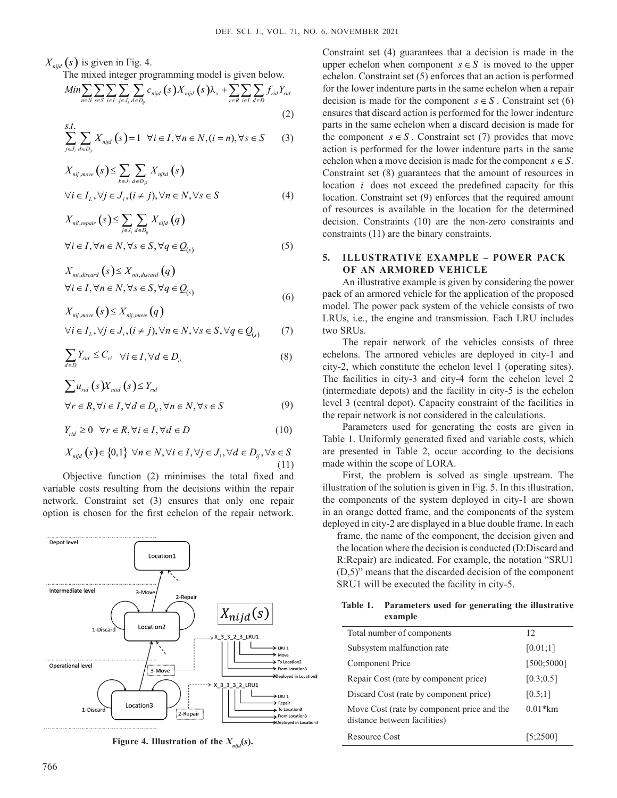$X_{\text{mid}}(s)$  is given in Fig. 4.

The mixed integer programming model is given below.

$$
Min \sum_{n \in N} \sum_{s \in S} \sum_{i \in I} \sum_{j \in J_i} \sum_{d \in D_{ij}} c_{nijd} (s) X_{nijd} (s) \lambda_s + \sum_{r \in R} \sum_{i \in I} \sum_{d \in D} f_{rid} Y_{rid}
$$
\n(2)

$$
\sum_{j\in J_i}^{S.t.} \sum_{d\in D_{ij}} X_{nijd}(s) = 1 \quad \forall i \in I, \forall n \in N, (i = n), \forall s \in S \tag{3}
$$

$$
X_{nij,move}(s) \le \sum_{k \in J_i} \sum_{d \in D_{jk}} X_{njkd}(s)
$$
  
\n
$$
\forall i \in I_L, \forall j \in J_i, (i \ne j), \forall n \in N, \forall s \in S
$$
 (4)

$$
X_{nii, repair}(s) \le \sum_{j \in J_i} \sum_{d \in D_{ij}} X_{nijd}(q)
$$
  
\n
$$
\forall i \in I, \forall n \in N, \forall s \in S, \forall q \in Q_{(s)}
$$
 (5)

$$
X_{ni,discard}(s) \le X_{ni,discard}(q)
$$
  
\n
$$
\forall i \in I, \forall n \in N, \forall s \in S, \forall q \in Q_{(s)}
$$
\n(6)

$$
X_{nij,move}(s) \leq X_{nij,move}(q)
$$

$$
\forall i \in I_L, \forall j \in J_i, (i \neq j), \forall n \in N, \forall s \in S, \forall q \in Q_{(s)} \tag{7}
$$

$$
\sum_{d \in D} Y_{rid} \le C_{ri} \quad \forall i \in I, \forall d \in D_{ii}
$$
 (8)

$$
\sum u_{rid}(s)X_{ni d}(s) \le Y_{rid}
$$
  
\n
$$
\forall r \in R, \forall i \in I, \forall d \in D_{ii}, \forall n \in N, \forall s \in S
$$
 (9)

$$
Y_{rid} \ge 0 \quad \forall r \in R, \forall i \in I, \forall d \in D \tag{10}
$$

$$
X_{\text{mijd}}(s) \in \{0,1\} \ \forall n \in N, \forall i \in I, \forall j \in J_i, \forall d \in D_{ij}, \forall s \in S
$$
\n
$$
(11)
$$

Objective function (2) minimises the total fixed and variable costs resulting from the decisions within the repair network. Constraint set (3) ensures that only one repair option is chosen for the first echelon of the repair network.



Figure 4. Illustration of the  $X_{mid}(s)$ .

Constraint set (4) guarantees that a decision is made in the upper echelon when component  $s \in S$  is moved to the upper echelon. Constraint set (5) enforces that an action is performed for the lower indenture parts in the same echelon when a repair decision is made for the component  $s \in S$ . Constraint set (6) ensures that discard action is performed for the lower indenture parts in the same echelon when a discard decision is made for the component  $s \in S$ . Constraint set (7) provides that move action is performed for the lower indenture parts in the same echelon when a move decision is made for the component  $s \in S$ . Constraint set (8) guarantees that the amount of resources in location *i* does not exceed the predefined capacity for this location. Constraint set (9) enforces that the required amount of resources is available in the location for the determined decision. Constraints (10) are the non-zero constraints and constraints (11) are the binary constraints.

### **5. ILLUSTRATIVE EXAMPLE – POWER PACK OF AN ARMORED VEHICLE**

An illustrative example is given by considering the power pack of an armored vehicle for the application of the proposed model. The power pack system of the vehicle consists of two LRUs, i.e., the engine and transmission. Each LRU includes two SRUs.

The repair network of the vehicles consists of three echelons. The armored vehicles are deployed in city-1 and city-2, which constitute the echelon level 1 (operating sites). The facilities in city-3 and city-4 form the echelon level 2 (intermediate depots) and the facility in city-5 is the echelon level 3 (central depot). Capacity constraint of the facilities in the repair network is not considered in the calculations.

Parameters used for generating the costs are given in Table 1. Uniformly generated fixed and variable costs, which are presented in Table 2, occur according to the decisions made within the scope of LORA.

First, the problem is solved as single upstream. The illustration of the solution is given in Fig. 5. In this illustration, the components of the system deployed in city-1 are shown in an orange dotted frame, and the components of the system deployed in city-2 are displayed in a blue double frame. In each

frame, the name of the component, the decision given and the location where the decision is conducted (D:Discard and R:Repair) are indicated. For example, the notation "SRU1 (D,5)" means that the discarded decision of the component SRU1 will be executed the facility in city-5.

**Table 1. Parameters used for generating the illustrative example**

| Total number of components                                                 | 12          |
|----------------------------------------------------------------------------|-------------|
| Subsystem malfunction rate                                                 | [0.01;1]    |
| Component Price                                                            | [500; 5000] |
| Repair Cost (rate by component price)                                      | [0.3:0.5]   |
| Discard Cost (rate by component price)                                     | [0.5;1]     |
| Move Cost (rate by component price and the<br>distance between facilities) | $0.01*km$   |
| Resource Cost                                                              | 15:25001    |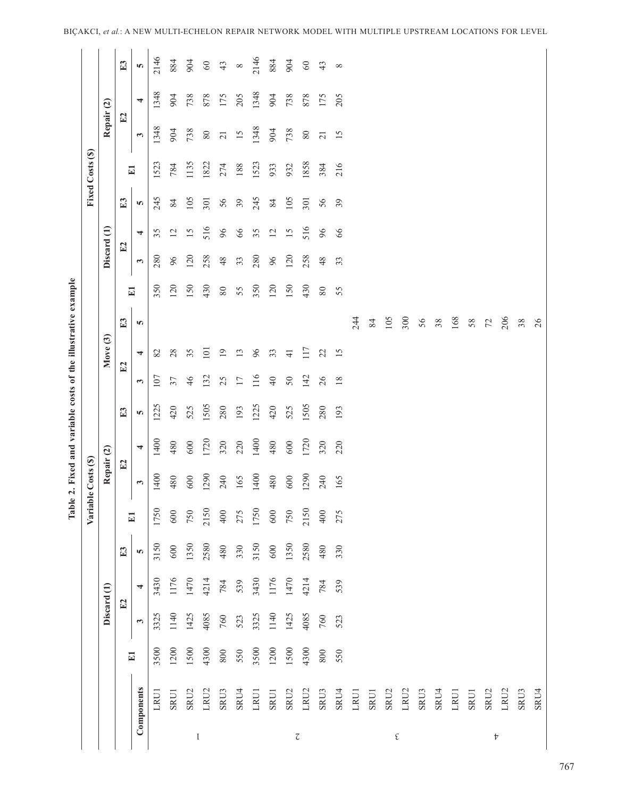|                          |                  |         |              |                |      | Variable | e Costs (\$) |                |      |                 |                 |        |              |              |                 |              | Fixed Costs (\$) |                       |                |             |
|--------------------------|------------------|---------|--------------|----------------|------|----------|--------------|----------------|------|-----------------|-----------------|--------|--------------|--------------|-----------------|--------------|------------------|-----------------------|----------------|-------------|
|                          |                  |         |              | Discard (1)    |      |          | Repair (2)   |                |      |                 | Move (3)        |        |              | Discard (1)  |                 |              |                  | Repair (2)            |                |             |
|                          |                  |         |              | E2             | E3   |          | E2           |                | E3   | E2              |                 | E3     |              | E2           |                 | E3           |                  | E2                    |                | E3          |
|                          | Components       | E1      | $\mathbf{c}$ | $\overline{4}$ | Ю    | E1       | 3            | $\overline{4}$ | S    | $\mathbf{c}$    | 4               | S      | $\mathbf{E}$ | $\mathbf{c}$ | 4               | <b>SC</b>    | E1               | $\boldsymbol{\omega}$ | $\overline{4}$ | S           |
|                          | <b>LRUI</b>      | 3500    | 3325         | 3430           | 3150 | 1750     | 1400         | 1400           | 1225 | 107             | 82              |        | 350          | 280          | 35              | 245          | 1523             | 1348                  | 1348           | 2146        |
|                          | <b>SRUI</b>      | 1200    | 1140         | 1176           | 600  | $600\,$  | 480          | 480            | 420  | 37              | 28              |        | 120          | 96           | $\overline{c}$  | $\,$ 84 $\,$ | 784              | 904                   | 904            | 884         |
|                          | SRU <sub>2</sub> | 1500    | 1425         | 1470           | 1350 | 750      | $600\,$      | $600\,$        | 525  | 46              | 35              |        | 150          | 120          | $\overline{15}$ | 105          | 1135             | 738                   | 738            | 904         |
| $\mathfrak l$            | LRU2             | 4300    | 4085         | 4214           | 2580 | 2150     | 1290         | 1720           | 1505 | 132             | 101             |        | 430          | 258          | 516             | 301          | 1822             | $\rm 80$              | 878            | $\mbox{60}$ |
|                          | SRU3             | $800\,$ | 760          | 784            | 480  | $400$    | 240          | 320            | 280  | 25              | $\overline{19}$ |        | $\rm 80$     | 48           | 96              | 56           | 274              | $\overline{21}$       | 175            | 43          |
|                          | SRU4             | 550     | 523          | 539            | 330  | 275      | 165          | 220            | 193  | 17              | 13              |        | 55           | 33           | 66              | $39$         | 188              | $\overline{15}$       | 205            | $\infty$    |
|                          | LRUI             | 3500    | 3325         | 3430           | 3150 | 1750     | 1400         | 1400           | 1225 | 116             | 96              |        | 350          | 280          | 35              | 245          | 1523             | 1348                  | 1348           | 2146        |
|                          | <b>SRUI</b>      | 1200    | 1140         | 1176           | 600  | $600\,$  | 480          | 480            | 420  | $\overline{40}$ | 33              |        | 120          | 96           | 12              | 84           | 933              | 904                   | 904            | 884         |
|                          | SRU <sub>2</sub> | 1500    | 1425         | 1470           | 1350 | 750      | 600          | 600            | 525  | 50              | $\frac{1}{4}$   |        | 150          | 120          | 15              | 105          | 932              | 738                   | 738            | 904         |
| $\overline{\mathcal{C}}$ | LRU2             | 4300    | 4085         | 4214           | 2580 | 2150     | 1290         | 1720           | 1505 | 142             | 117             |        | 430          | 258          | 516             | 301          | 1858             | $\rm 80$              | 878            | $\mbox{60}$ |
|                          | SRU3             | $800\,$ | 760          | 784            | 480  | 400      | 240          | 320            | 280  | 26              | 22              |        | $80\,$       | 48           | 96              | 56           | 384              | $\overline{21}$       | 175            | 43          |
|                          | SRU4             | 550     | 523          | 539            | 330  | 275      | 165          | 220            | 193  | $18\,$          | 15              |        | 55           | 33           | 66              | 39           | 216              | 15                    | 205            | $\infty$    |
|                          | LRU1             |         |              |                |      |          |              |                |      |                 |                 | 244    |              |              |                 |              |                  |                       |                |             |
|                          | <b>SRUI</b>      |         |              |                |      |          |              |                |      |                 |                 | 84     |              |              |                 |              |                  |                       |                |             |
|                          | SRU2             |         |              |                |      |          |              |                |      |                 |                 | 105    |              |              |                 |              |                  |                       |                |             |
| $\boldsymbol{\xi}$       | LRU2             |         |              |                |      |          |              |                |      |                 |                 | 300    |              |              |                 |              |                  |                       |                |             |
|                          | SRU3             |         |              |                |      |          |              |                |      |                 |                 | 56     |              |              |                 |              |                  |                       |                |             |
|                          | SRU4             |         |              |                |      |          |              |                |      |                 |                 | $38\,$ |              |              |                 |              |                  |                       |                |             |
|                          | LRU1             |         |              |                |      |          |              |                |      |                 |                 | 168    |              |              |                 |              |                  |                       |                |             |
|                          | SRU1             |         |              |                |      |          |              |                |      |                 |                 | 58     |              |              |                 |              |                  |                       |                |             |
| $\boldsymbol{\nabla}$    | SRU <sub>2</sub> |         |              |                |      |          |              |                |      |                 |                 | 72     |              |              |                 |              |                  |                       |                |             |
|                          | LRU2             |         |              |                |      |          |              |                |      |                 |                 | 206    |              |              |                 |              |                  |                       |                |             |
|                          | SRU3             |         |              |                |      |          |              |                |      |                 |                 | 38     |              |              |                 |              |                  |                       |                |             |
|                          | SRU4             |         |              |                |      |          |              |                |      |                 |                 | 26     |              |              |                 |              |                  |                       |                |             |

**Table 2. Fixed and variable costs of the illustrative example**

Table 2. Fixed and variable costs of the illustrative example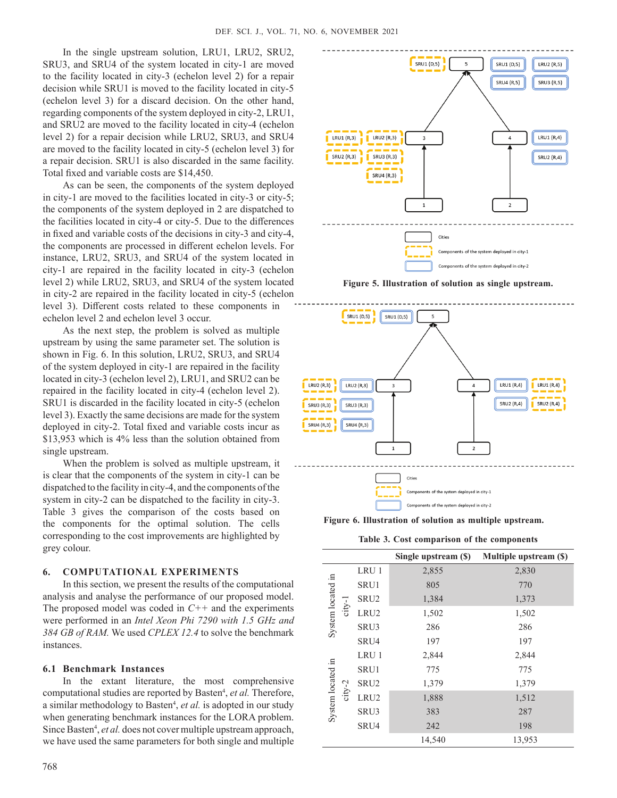In the single upstream solution, LRU1, LRU2, SRU2, SRU3, and SRU4 of the system located in city-1 are moved to the facility located in city-3 (echelon level 2) for a repair decision while SRU1 is moved to the facility located in city-5 (echelon level 3) for a discard decision. On the other hand, regarding components of the system deployed in city-2, LRU1, and SRU2 are moved to the facility located in city-4 (echelon level 2) for a repair decision while LRU2, SRU3, and SRU4 are moved to the facility located in city-5 (echelon level 3) for a repair decision. SRU1 is also discarded in the same facility. Total fixed and variable costs are \$14,450.

As can be seen, the components of the system deployed in city-1 are moved to the facilities located in city-3 or city-5; the components of the system deployed in 2 are dispatched to the facilities located in city-4 or city-5. Due to the differences in fixed and variable costs of the decisions in city-3 and city-4, the components are processed in different echelon levels. For instance, LRU2, SRU3, and SRU4 of the system located in city-1 are repaired in the facility located in city-3 (echelon level 2) while LRU2, SRU3, and SRU4 of the system located in city-2 are repaired in the facility located in city-5 (echelon level 3). Different costs related to these components in echelon level 2 and echelon level 3 occur.

As the next step, the problem is solved as multiple upstream by using the same parameter set. The solution is shown in Fig. 6. In this solution, LRU2, SRU3, and SRU4 of the system deployed in city-1 are repaired in the facility located in city-3 (echelon level 2), LRU1, and SRU2 can be repaired in the facility located in city-4 (echelon level 2). SRU1 is discarded in the facility located in city-5 (echelon level 3). Exactly the same decisions are made for the system deployed in city-2. Total fixed and variable costs incur as \$13,953 which is 4% less than the solution obtained from single upstream.

When the problem is solved as multiple upstream, it is clear that the components of the system in city-1 can be dispatched to the facility in city-4, and the components of the system in city-2 can be dispatched to the facility in city-3. Table 3 gives the comparison of the costs based on the components for the optimal solution. The cells corresponding to the cost improvements are highlighted by grey colour.

### **6. COMPUTATIONAL EXPERIMENTS**

In this section, we present the results of the computational analysis and analyse the performance of our proposed model. The proposed model was coded in *C++* and the experiments were performed in an *Intel Xeon Phi 7290 with 1.5 GHz and 384 GB of RAM.* We used *CPLEX 12.4* to solve the benchmark instances.

#### **6.1 Benchmark Instances**

In the extant literature, the most comprehensive computational studies are reported by Basten<sup>4</sup>, et al. Therefore, a similar methodology to Basten<sup>4</sup>, et al. is adopted in our study when generating benchmark instances for the LORA problem. Since Basten<sup>4</sup>, et al. does not cover multiple upstream approach, we have used the same parameters for both single and multiple



**Figure 5. Illustration of solution as single upstream.**



**Figure 6. Illustration of solution as multiple upstream.**

**Table 3. Cost comparison of the components**

|                               |                  | Single upstream (\$) | Multiple upstream (\$) |
|-------------------------------|------------------|----------------------|------------------------|
|                               | LRU 1            | 2,855                | 2,830                  |
|                               | SRU1             | 805                  | 770                    |
|                               | SRU <sub>2</sub> | 1,384                | 1,373                  |
| System located in<br>$city-1$ | LRU <sub>2</sub> | 1,502                | 1,502                  |
|                               | SRU3             | 286                  | 286                    |
|                               | SRU4             | 197                  | 197                    |
|                               | LRU 1            | 2,844                | 2,844                  |
|                               | SRU1             | 775                  | 775                    |
| System located in<br>city-2   | SRU <sub>2</sub> | 1,379                | 1,379                  |
|                               | LRU <sub>2</sub> | 1,888                | 1,512                  |
|                               | SRU3             | 383                  | 287                    |
|                               | SRU4             | 242                  | 198                    |
|                               |                  | 14,540               | 13,953                 |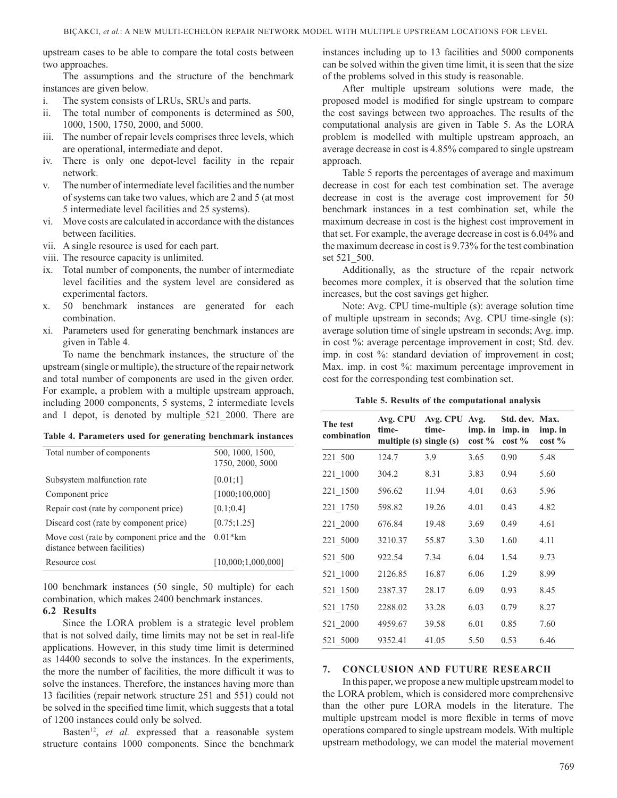upstream cases to be able to compare the total costs between two approaches.

The assumptions and the structure of the benchmark instances are given below.

- i. The system consists of LRUs, SRUs and parts.
- ii. The total number of components is determined as 500, 1000, 1500, 1750, 2000, and 5000.
- iii. The number of repair levels comprises three levels, which are operational, intermediate and depot.
- iv. There is only one depot-level facility in the repair network.
- v. The number of intermediate level facilities and the number of systems can take two values, which are 2 and 5 (at most 5 intermediate level facilities and 25 systems).
- vi. Move costs are calculated in accordance with the distances between facilities.
- vii. A single resource is used for each part.
- viii. The resource capacity is unlimited.
- ix. Total number of components, the number of intermediate level facilities and the system level are considered as experimental factors.
- x. 50 benchmark instances are generated for each combination.
- xi. Parameters used for generating benchmark instances are given in Table 4.

To name the benchmark instances, the structure of the upstream (single or multiple), the structure of the repair network and total number of components are used in the given order. For example, a problem with a multiple upstream approach, including 2000 components, 5 systems, 2 intermediate levels and 1 depot, is denoted by multiple\_521\_2000. There are

|  | Table 4. Parameters used for generating benchmark instances |  |  |  |  |
|--|-------------------------------------------------------------|--|--|--|--|
|--|-------------------------------------------------------------|--|--|--|--|

| Total number of components                                                 | 500, 1000, 1500,<br>1750, 2000, 5000 |
|----------------------------------------------------------------------------|--------------------------------------|
| Subsystem malfunction rate                                                 | [0.01;1]                             |
| Component price                                                            | [1000; 100, 000]                     |
| Repair cost (rate by component price)                                      | [0.1; 0.4]                           |
| Discard cost (rate by component price)                                     | [0.75;1.25]                          |
| Move cost (rate by component price and the<br>distance between facilities) | $0.01*km$                            |
| Resource cost                                                              | [10,000:1,000,000]                   |

100 benchmark instances (50 single, 50 multiple) for each combination, which makes 2400 benchmark instances.

# **6.2 Results**

Since the LORA problem is a strategic level problem that is not solved daily, time limits may not be set in real-life applications. However, in this study time limit is determined as 14400 seconds to solve the instances. In the experiments, the more the number of facilities, the more difficult it was to solve the instances. Therefore, the instances having more than 13 facilities (repair network structure 251 and 551) could not be solved in the specified time limit, which suggests that a total of 1200 instances could only be solved.

Basten<sup>12</sup>, et al. expressed that a reasonable system structure contains 1000 components. Since the benchmark instances including up to 13 facilities and 5000 components can be solved within the given time limit, it is seen that the size of the problems solved in this study is reasonable.

After multiple upstream solutions were made, the proposed model is modified for single upstream to compare the cost savings between two approaches. The results of the computational analysis are given in Table 5. As the LORA problem is modelled with multiple upstream approach, an average decrease in cost is 4.85% compared to single upstream approach.

Table 5 reports the percentages of average and maximum decrease in cost for each test combination set. The average decrease in cost is the average cost improvement for 50 benchmark instances in a test combination set, while the maximum decrease in cost is the highest cost improvement in that set. For example, the average decrease in cost is 6.04% and the maximum decrease in cost is 9.73% for the test combination set 521\_500.

Additionally, as the structure of the repair network becomes more complex, it is observed that the solution time increases, but the cost savings get higher.

Note: Avg. CPU time-multiple (s): average solution time of multiple upstream in seconds; Avg. CPU time-single (s): average solution time of single upstream in seconds; Avg. imp. in cost %: average percentage improvement in cost; Std. dev. imp. in cost %: standard deviation of improvement in cost; Max. imp. in cost %: maximum percentage improvement in cost for the corresponding test combination set.

|  |  |  |  |  | Table 5. Results of the computational analysis |  |
|--|--|--|--|--|------------------------------------------------|--|
|--|--|--|--|--|------------------------------------------------|--|

| The test<br>combination | Avg. CPU<br>time-<br>multiple $(s)$ single $(s)$ | Avg. CPU<br>time- | Avg.<br>imp. in<br>$\cot\frac{9}{6}$ | Std. dev. Max.<br>imp. in<br>$\cos t \%$ | imp. in<br>$cost\%$ |
|-------------------------|--------------------------------------------------|-------------------|--------------------------------------|------------------------------------------|---------------------|
| 221_500                 | 124.7                                            | 3.9               | 3.65                                 | 0.90                                     | 5.48                |
| 221_1000                | 304.2                                            | 8.31              | 3.83                                 | 0.94                                     | 5.60                |
| 221_1500                | 596.62                                           | 11.94             | 4.01                                 | 0.63                                     | 5.96                |
| 221_1750                | 598.82                                           | 19.26             | 4.01                                 | 0.43                                     | 4.82                |
| 221_2000                | 676.84                                           | 19.48             | 3.69                                 | 0.49                                     | 4.61                |
| 221_5000                | 3210.37                                          | 55.87             | 3.30                                 | 1.60                                     | 4.11                |
| 521_500                 | 922.54                                           | 7.34              | 6.04                                 | 1.54                                     | 9.73                |
| 521_1000                | 2126.85                                          | 16.87             | 6.06                                 | 1.29                                     | 8.99                |
| 521_1500                | 2387.37                                          | 28.17             | 6.09                                 | 0.93                                     | 8.45                |
| 521_1750                | 2288.02                                          | 33.28             | 6.03                                 | 0.79                                     | 8.27                |
| 521_2000                | 4959.67                                          | 39.58             | 6.01                                 | 0.85                                     | 7.60                |
| 521 5000                | 9352.41                                          | 41.05             | 5.50                                 | 0.53                                     | 6.46                |

#### **7. CONCLUSION AND FUTURE RESEARCH**

In this paper, we propose a new multiple upstream model to the LORA problem, which is considered more comprehensive than the other pure LORA models in the literature. The multiple upstream model is more flexible in terms of move operations compared to single upstream models. With multiple upstream methodology, we can model the material movement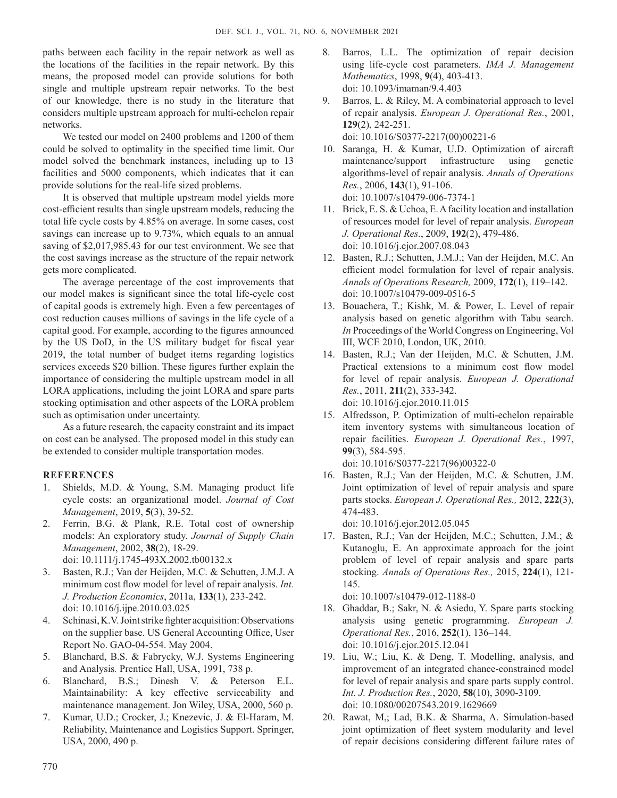paths between each facility in the repair network as well as the locations of the facilities in the repair network. By this means, the proposed model can provide solutions for both single and multiple upstream repair networks. To the best of our knowledge, there is no study in the literature that considers multiple upstream approach for multi-echelon repair networks.

We tested our model on 2400 problems and 1200 of them could be solved to optimality in the specified time limit. Our model solved the benchmark instances, including up to 13 facilities and 5000 components, which indicates that it can provide solutions for the real-life sized problems.

It is observed that multiple upstream model yields more cost-efficient results than single upstream models, reducing the total life cycle costs by 4.85% on average. In some cases, cost savings can increase up to 9.73%, which equals to an annual saving of \$2,017,985.43 for our test environment. We see that the cost savings increase as the structure of the repair network gets more complicated.

The average percentage of the cost improvements that our model makes is significant since the total life-cycle cost of capital goods is extremely high. Even a few percentages of cost reduction causes millions of savings in the life cycle of a capital good. For example, according to the figures announced by the US DoD, in the US military budget for fiscal year 2019, the total number of budget items regarding logistics services exceeds \$20 billion. These figures further explain the importance of considering the multiple upstream model in all LORA applications, including the joint LORA and spare parts stocking optimisation and other aspects of the LORA problem such as optimisation under uncertainty.

As a future research, the capacity constraint and its impact on cost can be analysed. The proposed model in this study can be extended to consider multiple transportation modes.

## **REFERENCES**

- 1. Shields, M.D. & Young, S.M. Managing product life cycle costs: an organizational model. *Journal of Cost Management*, 2019, **5**(3), 39-52.
- 2. Ferrin, B.G. & Plank, R.E. Total cost of ownership models: An exploratory study. *Journal of Supply Chain Management*, 2002, **38**(2), 18-29. doi: 10.1111/j.1745-493X.2002.tb00132.x
- 3. Basten, R.J.; Van der Heijden, M.C. & Schutten, J.M.J. A minimum cost flow model for level of repair analysis. *Int. J. Production Economics*, 2011a, **133**(1), 233-242. doi: 10.1016/j.ijpe.2010.03.025
- 4. Schinasi, K.V. Joint strike fighter acquisition: Observations on the supplier base. US General Accounting Office, User Report No. GAO-04-554. May 2004.
- 5. Blanchard, B.S. & Fabrycky, W.J. Systems Engineering and Analysis*.* Prentice Hall, USA, 1991, 738 p.
- 6. Blanchard, B.S.; Dinesh V. & Peterson E.L. Maintainability: A key effective serviceability and maintenance management. Jon Wiley, USA, 2000, 560 p.
- 7. Kumar, U.D.; Crocker, J.; Knezevic, J. & El-Haram, M. Reliability, Maintenance and Logistics Support. Springer, USA, 2000, 490 p.
- 8. Barros, L.L. The optimization of repair decision using life-cycle cost parameters. *IMA J. Management Mathematics*, 1998, **9**(4), 403-413. doi: 10.1093/imaman/9.4.403
- 9. Barros, L. & Riley, M. A combinatorial approach to level of repair analysis. *European J. Operational Res.*, 2001, **129**(2), 242-251. doi: 10.1016/S0377-2217(00)00221-6
- 10. Saranga, H. & Kumar, U.D. Optimization of aircraft maintenance/support infrastructure using genetic algorithms-level of repair analysis. *Annals of Operations Res.*, 2006, **143**(1), 91-106. doi: 10.1007/s10479-006-7374-1
- 11. Brick, E. S. & Uchoa, E. A facility location and installation of resources model for level of repair analysis. *European J. Operational Res.*, 2009, **192**(2), 479-486. doi: 10.1016/j.ejor.2007.08.043
- 12. Basten, R.J.; Schutten, J.M.J.; Van der Heijden, M.C. An efficient model formulation for level of repair analysis. *Annals of Operations Research,* 2009, **172**(1), 119–142. doi: 10.1007/s10479-009-0516-5
- 13. Bouachera, T.; Kishk, M. & Power, L. Level of repair analysis based on genetic algorithm with Tabu search. *In* Proceedings of the World Congress on Engineering, Vol III, WCE 2010, London, UK, 2010.
- 14. Basten, R.J.; Van der Heijden, M.C. & Schutten, J.M. Practical extensions to a minimum cost flow model for level of repair analysis. *European J. Operational Res.*, 2011, **211**(2), 333-342. doi: 10.1016/j.ejor.2010.11.015
- 15. Alfredsson, P. Optimization of multi-echelon repairable item inventory systems with simultaneous location of repair facilities. *European J. Operational Res.*, 1997, **99**(3), 584-595. doi: 10.1016/S0377-2217(96)00322-0
- 16. Basten, R.J.; Van der Heijden, M.C. & Schutten, J.M. Joint optimization of level of repair analysis and spare parts stocks. *European J. Operational Res.,* 2012, **222**(3), 474-483.

doi: 10.1016/j.ejor.2012.05.045

17. Basten, R.J.; Van der Heijden, M.C.; Schutten, J.M.; & Kutanoglu, E. An approximate approach for the joint problem of level of repair analysis and spare parts stocking. *Annals of Operations Res.,* 2015, **224**(1), 121- 145.

doi: 10.1007/s10479-012-1188-0

- 18. Ghaddar, B.; Sakr, N. & Asiedu, Y. Spare parts stocking analysis using genetic programming. *European J. Operational Res.*, 2016, **252**(1), 136–144. doi: 10.1016/j.ejor.2015.12.041
- 19. Liu, W.; Liu, K. & Deng, T. Modelling, analysis, and improvement of an integrated chance-constrained model for level of repair analysis and spare parts supply control. *Int. J. Production Res.*, 2020, **58**(10), 3090-3109. doi: 10.1080/00207543.2019.1629669
- 20. Rawat, M,; Lad, B.K. & Sharma, A. Simulation-based joint optimization of fleet system modularity and level of repair decisions considering different failure rates of